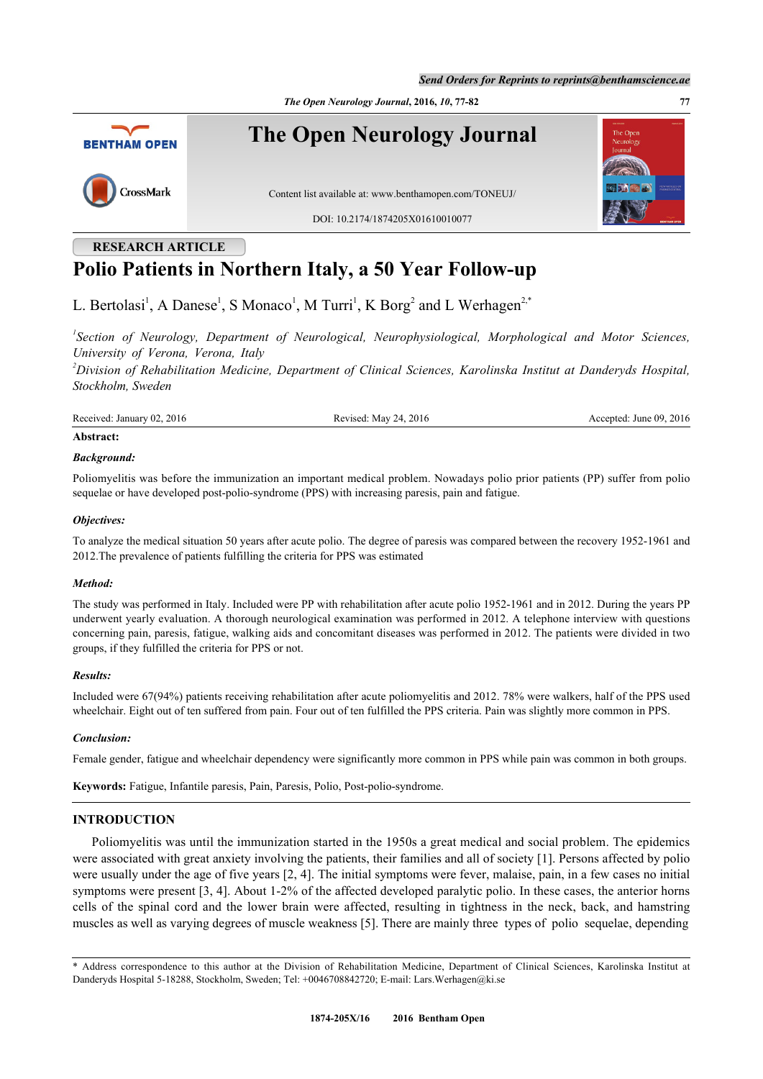*The Open Neurology Journal***, 2016,** *10***, 77-82 77**



# **RESEARCH ARTICLE Polio Patients in Northern Italy, a 50 Year Follow-up**

L. Bertolasi<sup>[1](#page-0-0)</sup>, A Danese<sup>1</sup>, S Monaco<sup>1</sup>, M Turri<sup>1</sup>, K Borg<sup>[2](#page-0-1)</sup> and L Werhagen<sup>2,[\\*](#page-0-2)</sup>

<span id="page-0-0"></span>*1 Section of Neurology, Department of Neurological, Neurophysiological, Morphological and Motor Sciences, University of Verona, Verona, Italy*

<span id="page-0-1"></span>*<sup>2</sup>Division of Rehabilitation Medicine, Department of Clinical Sciences, Karolinska Institut at Danderyds Hospital, Stockholm, Sweden*

Received: January 02, 2016 Revised: May 24, 2016 Revised: May 24, 2016 Accepted: June 09, 2016

## **Abstract:**

## *Background:*

Poliomyelitis was before the immunization an important medical problem. Nowadays polio prior patients (PP) suffer from polio sequelae or have developed post-polio-syndrome (PPS) with increasing paresis, pain and fatigue.

#### *Objectives:*

To analyze the medical situation 50 years after acute polio. The degree of paresis was compared between the recovery 1952-1961 and 2012.The prevalence of patients fulfilling the criteria for PPS was estimated

## *Method:*

The study was performed in Italy. Included were PP with rehabilitation after acute polio 1952-1961 and in 2012. During the years PP underwent yearly evaluation. A thorough neurological examination was performed in 2012. A telephone interview with questions concerning pain, paresis, fatigue, walking aids and concomitant diseases was performed in 2012. The patients were divided in two groups, if they fulfilled the criteria for PPS or not.

## *Results:*

Included were 67(94%) patients receiving rehabilitation after acute poliomyelitis and 2012. 78% were walkers, half of the PPS used wheelchair. Eight out of ten suffered from pain. Four out of ten fulfilled the PPS criteria. Pain was slightly more common in PPS.

## *Conclusion:*

Female gender, fatigue and wheelchair dependency were significantly more common in PPS while pain was common in both groups.

**Keywords:** Fatigue, Infantile paresis, Pain, Paresis, Polio, Post-polio-syndrome.

## **INTRODUCTION**

Poliomyelitis was until the immunization started in the 1950s a great medical and social problem. The epidemics were associated with great anxiety involving the patients, their families and all of society [[1\]](#page-5-0). Persons affected by polio were usually under the age of five years [\[2](#page-5-1), [4\]](#page-5-2). The initial symptoms were fever, malaise, pain, in a few cases no initial symptoms were present [[3,](#page-5-3) [4](#page-5-2)]. About 1-2% of the affected developed paralytic polio. In these cases, the anterior horns cells of the spinal cord and the lower brain were affected, resulting in tightness in the neck, back, and hamstring muscles as well as varying degrees of muscle weakness [[5\]](#page-5-4). There are mainly three types of polio sequelae, depending

<span id="page-0-2"></span>\* Address correspondence to this author at the Division of Rehabilitation Medicine, Department of Clinical Sciences, Karolinska Institut at Danderyds Hospital 5-18288, Stockholm, Sweden; Tel: +0046708842720; E-mail: [Lars.Werhagen@ki.se](mailto:Lars.Werhagen@ki.se)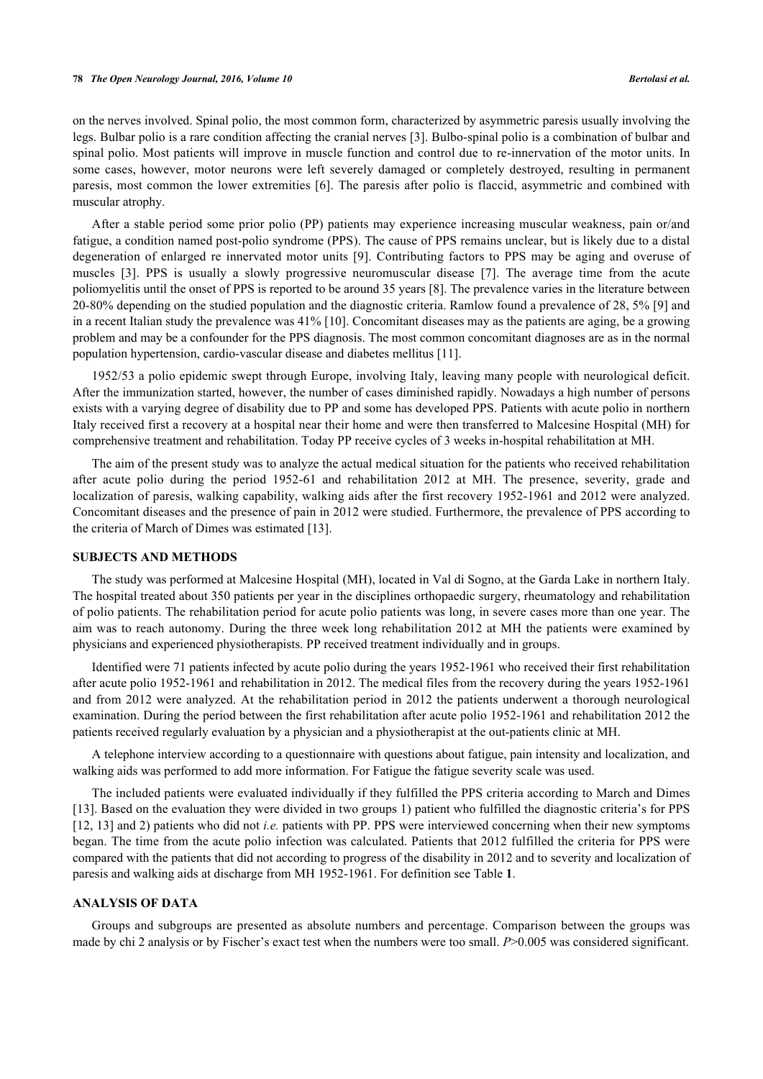#### **78** *The Open Neurology Journal, 2016, Volume 10 Bertolasi et al.*

on the nerves involved. Spinal polio, the most common form, characterized by asymmetric paresis usually involving the legs. Bulbar polio is a rare condition affecting the cranial nerves [\[3](#page-5-3)]. Bulbo-spinal polio is a combination of bulbar and spinal polio. Most patients will improve in muscle function and control due to re-innervation of the motor units. In some cases, however, motor neurons were left severely damaged or completely destroyed, resulting in permanent paresis, most common the lower extremities [\[6\]](#page-5-5). The paresis after polio is flaccid, asymmetric and combined with muscular atrophy.

After a stable period some prior polio (PP) patients may experience increasing muscular weakness, pain or/and fatigue, a condition named post-polio syndrome (PPS). The cause of PPS remains unclear, but is likely due to a distal degeneration of enlarged re innervated motor units [[9](#page-5-6)]. Contributing factors to PPS may be aging and overuse of muscles[[3\]](#page-5-3). PPS is usually a slowly progressive neuromuscular disease[[7\]](#page-5-7). The average time from the acute poliomyelitis until the onset of PPS is reported to be around 35 years [\[8](#page-5-8)]. The prevalence varies in the literature between 20-80% depending on the studied population and the diagnostic criteria. Ramlow found a prevalence of 28, 5% [[9](#page-5-6)] and in a recent Italian study the prevalence was 41% [[10\]](#page-5-9). Concomitant diseases may as the patients are aging, be a growing problem and may be a confounder for the PPS diagnosis. The most common concomitant diagnoses are as in the normal population hypertension, cardio-vascular disease and diabetes mellitus [\[11](#page-5-10)].

1952/53 a polio epidemic swept through Europe, involving Italy, leaving many people with neurological deficit. After the immunization started, however, the number of cases diminished rapidly. Nowadays a high number of persons exists with a varying degree of disability due to PP and some has developed PPS. Patients with acute polio in northern Italy received first a recovery at a hospital near their home and were then transferred to Malcesine Hospital (MH) for comprehensive treatment and rehabilitation. Today PP receive cycles of 3 weeks in-hospital rehabilitation at MH.

The aim of the present study was to analyze the actual medical situation for the patients who received rehabilitation after acute polio during the period 1952-61 and rehabilitation 2012 at MH. The presence, severity, grade and localization of paresis, walking capability, walking aids after the first recovery 1952-1961 and 2012 were analyzed. Concomitant diseases and the presence of pain in 2012 were studied. Furthermore, the prevalence of PPS according to the criteria of March of Dimes was estimated [\[13](#page-5-11)].

#### **SUBJECTS AND METHODS**

The study was performed at Malcesine Hospital (MH), located in Val di Sogno, at the Garda Lake in northern Italy. The hospital treated about 350 patients per year in the disciplines orthopaedic surgery, rheumatology and rehabilitation of polio patients. The rehabilitation period for acute polio patients was long, in severe cases more than one year. The aim was to reach autonomy. During the three week long rehabilitation 2012 at MH the patients were examined by physicians and experienced physiotherapists. PP received treatment individually and in groups.

Identified were 71 patients infected by acute polio during the years 1952-1961 who received their first rehabilitation after acute polio 1952-1961 and rehabilitation in 2012. The medical files from the recovery during the years 1952-1961 and from 2012 were analyzed. At the rehabilitation period in 2012 the patients underwent a thorough neurological examination. During the period between the first rehabilitation after acute polio 1952-1961 and rehabilitation 2012 the patients received regularly evaluation by a physician and a physiotherapist at the out-patients clinic at MH.

A telephone interview according to a questionnaire with questions about fatigue, pain intensity and localization, and walking aids was performed to add more information. For Fatigue the fatigue severity scale was used.

The included patients were evaluated individually if they fulfilled the PPS criteria according to March and Dimes [\[13](#page-5-11)]. Based on the evaluation they were divided in two groups 1) patient who fulfilled the diagnostic criteria's for PPS [\[12](#page-5-12), [13\]](#page-5-11) and 2) patients who did not *i.e.* patients with PP. PPS were interviewed concerning when their new symptoms began. The time from the acute polio infection was calculated. Patients that 2012 fulfilled the criteria for PPS were compared with the patients that did not according to progress of the disability in 2012 and to severity and localization of paresis and walking aids at discharge from MH 1952-1961. For definition see Table **[1](#page-2-0)**.

## **ANALYSIS OF DATA**

Groups and subgroups are presented as absolute numbers and percentage. Comparison between the groups was made by chi 2 analysis or by Fischer's exact test when the numbers were too small. *P*>0.005 was considered significant.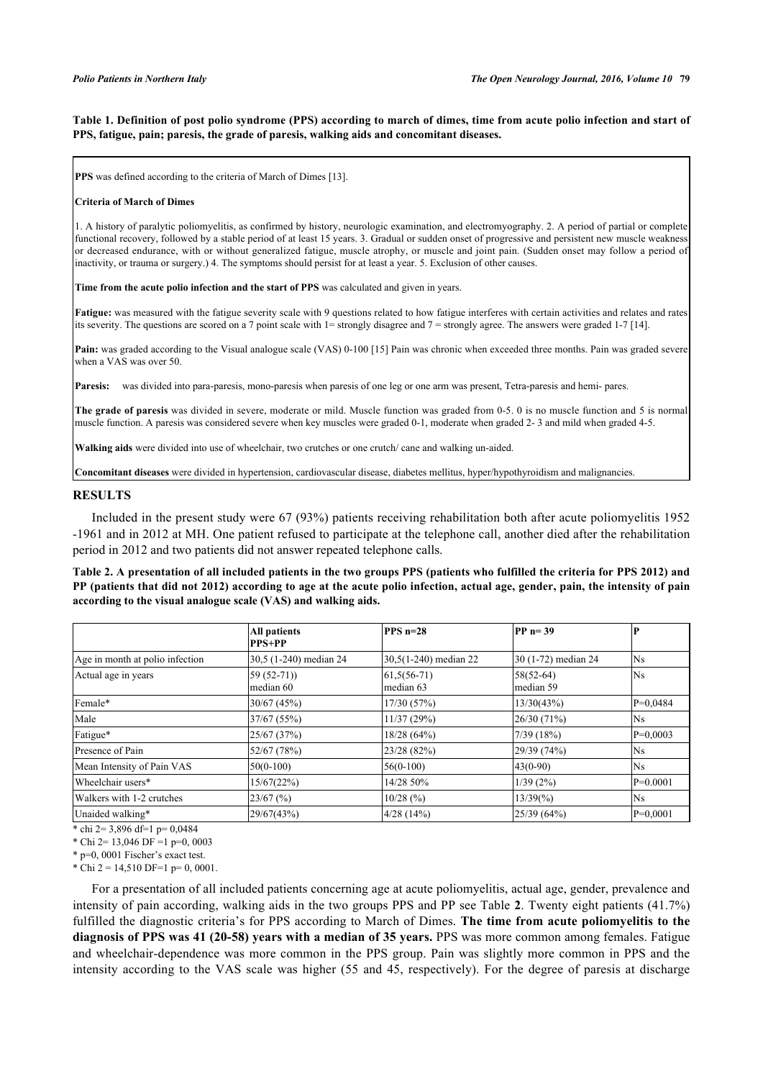<span id="page-2-0"></span>**Table 1. Definition of post polio syndrome (PPS) according to march of dimes, time from acute polio infection and start of PPS, fatigue, pain; paresis, the grade of paresis, walking aids and concomitant diseases.**

**PPS** was defined according to the criteria of March of Dimes [\[13](#page-5-11)].

#### **Criteria of March of Dimes**

1. A history of paralytic poliomyelitis, as confirmed by history, neurologic examination, and electromyography. 2. A period of partial or complete functional recovery, followed by a stable period of at least 15 years. 3. Gradual or sudden onset of progressive and persistent new muscle weakness or decreased endurance, with or without generalized fatigue, muscle atrophy, or muscle and joint pain. (Sudden onset may follow a period of inactivity, or trauma or surgery.) 4. The symptoms should persist for at least a year. 5. Exclusion of other causes.

**Time from the acute polio infection and the start of PPS** was calculated and given in years.

**Fatigue:** was measured with the fatigue severity scale with 9 questions related to how fatigue interferes with certain activities and relates and rates its severity. The questions are scored on a 7 point scale with 1= strongly disagree and 7 = strongly agree. The answers were graded 1-7 [[14\]](#page-5-13).

**Pain:** was graded according to the Visual analogue scale (VAS) 0-100 [\[15](#page-5-14)] Pain was chronic when exceeded three months. Pain was graded severe when a VAS was over 50.

Paresis: was divided into para-paresis, mono-paresis when paresis of one leg or one arm was present, Tetra-paresis and hemi- pares.

**The grade of paresis** was divided in severe, moderate or mild. Muscle function was graded from 0-5. 0 is no muscle function and 5 is normal muscle function. A paresis was considered severe when key muscles were graded 0-1, moderate when graded 2- 3 and mild when graded 4-5.

**Walking aids** were divided into use of wheelchair, two crutches or one crutch/ cane and walking un-aided.

**Concomitant diseases** were divided in hypertension, cardiovascular disease, diabetes mellitus, hyper/hypothyroidism and malignancies.

#### **RESULTS**

Included in the present study were 67 (93%) patients receiving rehabilitation both after acute poliomyelitis 1952 -1961 and in 2012 at MH. One patient refused to participate at the telephone call, another died after the rehabilitation period in 2012 and two patients did not answer repeated telephone calls.

<span id="page-2-1"></span>**Table 2. A presentation of all included patients in the two groups PPS (patients who fulfilled the criteria for PPS 2012) and PP (patients that did not 2012) according to age at the acute polio infection, actual age, gender, pain, the intensity of pain according to the visual analogue scale (VAS) and walking aids.**

|                                 | <b>All patients</b><br><b>PPS+PP</b> | $PPS$ n=28                 | $PP$ <sub>n=39</sub>     |            |
|---------------------------------|--------------------------------------|----------------------------|--------------------------|------------|
| Age in month at polio infection | 30,5 (1-240) median 24               | 30,5(1-240) median 22      | 30 (1-72) median 24      | Ns         |
| Actual age in years             | $59(52-71)$<br>median 60             | $61,5(56-71)$<br>median 63 | $58(52-64)$<br>median 59 | <b>Ns</b>  |
| Female*                         | 30/67 (45%)                          | 17/30(57%)                 | 13/30(43%)               | $P=0,0484$ |
| Male                            | 37/67 (55%)                          | 11/37(29%)                 | 26/30 (71%)              | Ns.        |
| Fatigue*                        | 25/67 (37%)                          | 18/28(64%)                 | 7/39 (18%)               | $P=0,0003$ |
| Presence of Pain                | 52/67 (78%)                          | 23/28 (82%)                | 29/39 (74%)              | Ns.        |
| Mean Intensity of Pain VAS      | $50(0-100)$                          | $56(0-100)$                | $43(0-90)$               | Ns         |
| Wheelchair users*               | 15/67(22%)                           | 14/28 50%                  | 1/39(2%)                 | $P=0.0001$ |
| Walkers with 1-2 crutches       | $23/67$ (%)                          | $10/28$ (%)                | $13/39\frac{6}{90}$      | Ns         |
| Unaided walking*                | 29/67(43%)                           | 4/28(14%)                  | 25/39 (64%)              | $P=0,0001$ |

 $\overline{*}$  chi 2= 3,896 df=1 p= 0,0484

\* Chi 2= 13,046 DF =1 p=0,0003

\* p=0, 0001 Fischer's exact test.

\* Chi 2 = 14,510 DF=1 p= 0, 0001.

For a presentation of all included patients concerning age at acute poliomyelitis, actual age, gender, prevalence and intensity of pain according, walking aids in the two groups PPS and PP see Table **[2](#page-2-1)**. Twenty eight patients (41.7%) fulfilled the diagnostic criteria's for PPS according to March of Dimes. **The time from acute poliomyelitis to the diagnosis of PPS was 41 (20-58) years with a median of 35 years.** PPS was more common among females. Fatigue and wheelchair-dependence was more common in the PPS group. Pain was slightly more common in PPS and the intensity according to the VAS scale was higher (55 and 45, respectively). For the degree of paresis at discharge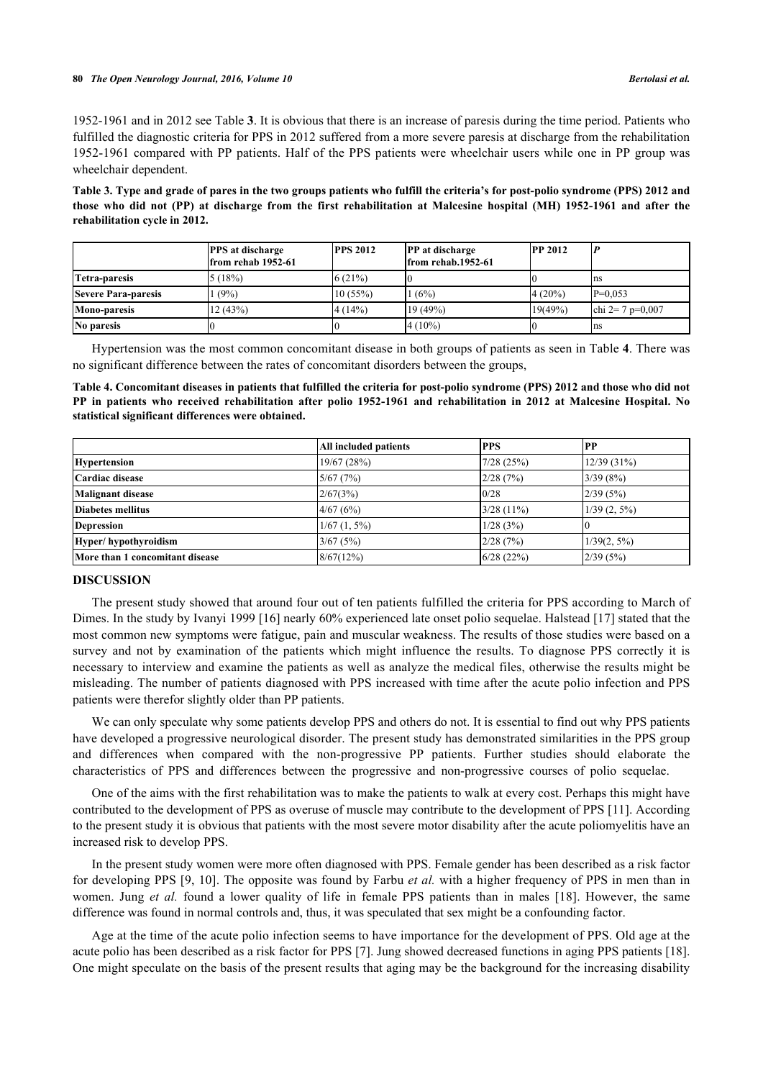1952-1961 and in 2012 see Table **[3](#page--1-0)**. It is obvious that there is an increase of paresis during the time period. Patients who fulfilled the diagnostic criteria for PPS in 2012 suffered from a more severe paresis at discharge from the rehabilitation 1952-1961 compared with PP patients. Half of the PPS patients were wheelchair users while one in PP group was wheelchair dependent.

**Table 3. Type and grade of pares in the two groups patients who fulfill the criteria's for post-polio syndrome (PPS) 2012 and those who did not (PP) at discharge from the first rehabilitation at Malcesine hospital (MH) 1952-1961 and after the rehabilitation cycle in 2012.**

|                            | <b>PPS</b> at discharge<br>from rehab 1952-61 | <b>PPS 2012</b> | <b>PP</b> at discharge<br>from rehab.1952-61 | <b>PP 2012</b> |                  |
|----------------------------|-----------------------------------------------|-----------------|----------------------------------------------|----------------|------------------|
| Tetra-paresis              | 5(18%)                                        | (6(21%)         |                                              |                | Ins              |
| <b>Severe Para-paresis</b> | (9%)                                          | 10(55%)         | 1(6%)                                        | $4(20\%)$      | $P=0.053$        |
| <b>Mono-paresis</b>        | 12(43%)                                       | 4(14%)          | 19 (49%)                                     | 19(49%)        | chi 2= 7 p=0.007 |
| No paresis                 |                                               |                 | $4(10\%)$                                    |                | Ins              |

Hypertension was the most common concomitant disease in both groups of patients as seen in Table **[4](#page-3-0)**. There was no significant difference between the rates of concomitant disorders between the groups,

<span id="page-3-0"></span>**Table 4. Concomitant diseases in patients that fulfilled the criteria for post-polio syndrome (PPS) 2012 and those who did not PP in patients who received rehabilitation after polio 1952-1961 and rehabilitation in 2012 at Malcesine Hospital. No statistical significant differences were obtained.**

|                                 | All included patients | <b>IPPS</b>  | PP             |
|---------------------------------|-----------------------|--------------|----------------|
| <b>Hypertension</b>             | 19/67(28%)            | 7/28(25%)    | 12/39(31%)     |
| Cardiac disease                 | 5/67(7%)              | 2/28(7%)     | 3/39(8%)       |
| <b>Malignant disease</b>        | 2/67(3%)              | 0/28         | 2/39(5%)       |
| Diabetes mellitus               | 4/67(6%)              | $3/28(11\%)$ | $1/39(2, 5\%)$ |
| <b>Depression</b>               | $1/67$ $(1, 5\%)$     | 1/28(3%)     |                |
| Hyper/hypothyroidism            | 3/67(5%)              | 2/28(7%)     | $1/39(2, 5\%)$ |
| More than 1 concomitant disease | 8/67(12%)             | 6/28(22%)    | 2/39(5%)       |

## **DISCUSSION**

The present study showed that around four out of ten patients fulfilled the criteria for PPS according to March of Dimes. In the study by Ivanyi 1999 [\[16](#page-5-15)] nearly 60% experienced late onset polio sequelae. Halstead [[17\]](#page-5-16) stated that the most common new symptoms were fatigue, pain and muscular weakness. The results of those studies were based on a survey and not by examination of the patients which might influence the results. To diagnose PPS correctly it is necessary to interview and examine the patients as well as analyze the medical files, otherwise the results might be misleading. The number of patients diagnosed with PPS increased with time after the acute polio infection and PPS patients were therefor slightly older than PP patients.

We can only speculate why some patients develop PPS and others do not. It is essential to find out why PPS patients have developed a progressive neurological disorder. The present study has demonstrated similarities in the PPS group and differences when compared with the non-progressive PP patients. Further studies should elaborate the characteristics of PPS and differences between the progressive and non-progressive courses of polio sequelae.

One of the aims with the first rehabilitation was to make the patients to walk at every cost. Perhaps this might have contributed to the development of PPS as overuse of muscle may contribute to the development of PPS [[11\]](#page-5-10). According to the present study it is obvious that patients with the most severe motor disability after the acute poliomyelitis have an increased risk to develop PPS.

In the present study women were more often diagnosed with PPS. Female gender has been described as a risk factor for developing PPS [\[9](#page-5-6), [10](#page-5-9)]. The opposite was found by Farbu *et al.* with a higher frequency of PPS in men than in women.Jung *et al.* found a lower quality of life in female PPS patients than in males [[18\]](#page-5-17). However, the same difference was found in normal controls and, thus, it was speculated that sex might be a confounding factor.

Age at the time of the acute polio infection seems to have importance for the development of PPS. Old age at the acute polio has been described as a risk factor for PPS [[7\]](#page-5-7). Jung showed decreased functions in aging PPS patients [[18\]](#page-5-17). One might speculate on the basis of the present results that aging may be the background for the increasing disability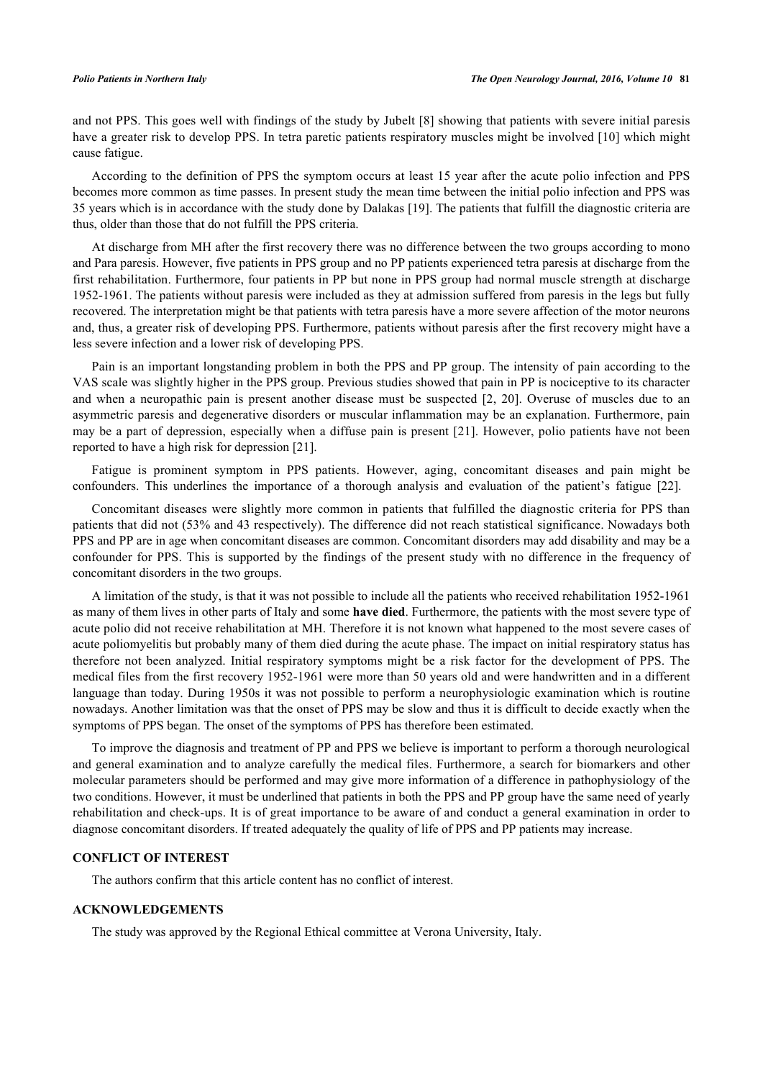and not PPS. This goes well with findings of the study by Jubelt [[8\]](#page-5-8) showing that patients with severe initial paresis have a greater risk to develop PPS. In tetra paretic patients respiratory muscles might be involved [[10](#page-5-9)] which might cause fatigue.

According to the definition of PPS the symptom occurs at least 15 year after the acute polio infection and PPS becomes more common as time passes. In present study the mean time between the initial polio infection and PPS was 35 years which is in accordance with the study done by Dalakas [[19\]](#page-5-18). The patients that fulfill the diagnostic criteria are thus, older than those that do not fulfill the PPS criteria.

At discharge from MH after the first recovery there was no difference between the two groups according to mono and Para paresis. However, five patients in PPS group and no PP patients experienced tetra paresis at discharge from the first rehabilitation. Furthermore, four patients in PP but none in PPS group had normal muscle strength at discharge 1952-1961. The patients without paresis were included as they at admission suffered from paresis in the legs but fully recovered. The interpretation might be that patients with tetra paresis have a more severe affection of the motor neurons and, thus, a greater risk of developing PPS. Furthermore, patients without paresis after the first recovery might have a less severe infection and a lower risk of developing PPS.

Pain is an important longstanding problem in both the PPS and PP group. The intensity of pain according to the VAS scale was slightly higher in the PPS group. Previous studies showed that pain in PP is nociceptive to its character and when a neuropathic pain is present another disease must be suspected[[2,](#page-5-1) [20\]](#page-5-19). Overuse of muscles due to an asymmetric paresis and degenerative disorders or muscular inflammation may be an explanation. Furthermore, pain may be a part of depression, especially when a diffuse pain is present [\[21\]](#page-5-20). However, polio patients have not been reported to have a high risk for depression [[21\]](#page-5-20).

Fatigue is prominent symptom in PPS patients. However, aging, concomitant diseases and pain might be confounders. This underlines the importance of a thorough analysis and evaluation of the patient's fatigue [\[22](#page-5-21)].

Concomitant diseases were slightly more common in patients that fulfilled the diagnostic criteria for PPS than patients that did not (53% and 43 respectively). The difference did not reach statistical significance. Nowadays both PPS and PP are in age when concomitant diseases are common. Concomitant disorders may add disability and may be a confounder for PPS. This is supported by the findings of the present study with no difference in the frequency of concomitant disorders in the two groups.

A limitation of the study, is that it was not possible to include all the patients who received rehabilitation 1952-1961 as many of them lives in other parts of Italy and some **have died**. Furthermore, the patients with the most severe type of acute polio did not receive rehabilitation at MH. Therefore it is not known what happened to the most severe cases of acute poliomyelitis but probably many of them died during the acute phase. The impact on initial respiratory status has therefore not been analyzed. Initial respiratory symptoms might be a risk factor for the development of PPS. The medical files from the first recovery 1952-1961 were more than 50 years old and were handwritten and in a different language than today. During 1950s it was not possible to perform a neurophysiologic examination which is routine nowadays. Another limitation was that the onset of PPS may be slow and thus it is difficult to decide exactly when the symptoms of PPS began. The onset of the symptoms of PPS has therefore been estimated.

To improve the diagnosis and treatment of PP and PPS we believe is important to perform a thorough neurological and general examination and to analyze carefully the medical files. Furthermore, a search for biomarkers and other molecular parameters should be performed and may give more information of a difference in pathophysiology of the two conditions. However, it must be underlined that patients in both the PPS and PP group have the same need of yearly rehabilitation and check-ups. It is of great importance to be aware of and conduct a general examination in order to diagnose concomitant disorders. If treated adequately the quality of life of PPS and PP patients may increase.

#### **CONFLICT OF INTEREST**

The authors confirm that this article content has no conflict of interest.

#### **ACKNOWLEDGEMENTS**

The study was approved by the Regional Ethical committee at Verona University, Italy.